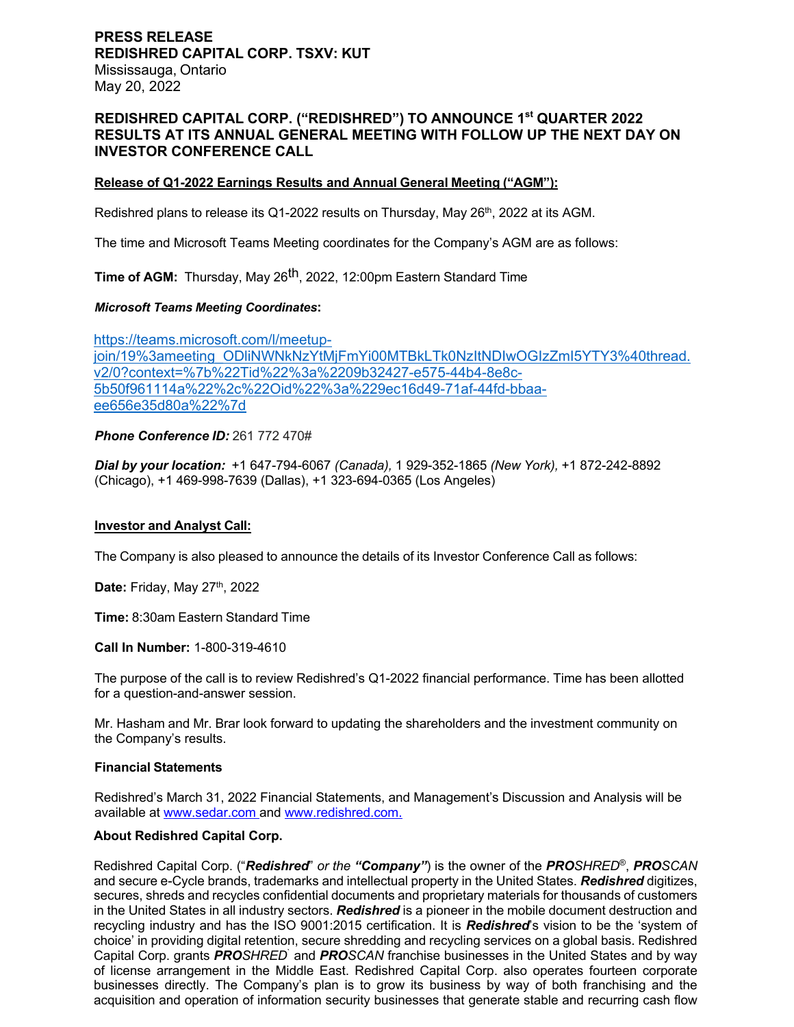# **PRESS RELEASE REDISHRED CAPITAL CORP. TSXV: KUT** Mississauga, Ontario May 20, 2022

# **REDISHRED CAPITAL CORP. ("REDISHRED") TO ANNOUNCE 1st QUARTER 2022 RESULTS AT ITS ANNUAL GENERAL MEETING WITH FOLLOW UP THE NEXT DAY ON INVESTOR CONFERENCE CALL**

## **Release of Q1-2022 Earnings Results and Annual General Meeting ("AGM"):**

Redishred plans to release its Q1-2022 results on Thursday, May 26<sup>th</sup>, 2022 at its AGM.

The time and Microsoft Teams Meeting coordinates for the Company's AGM are as follows:

**Time of AGM:** Thursday, May 26th, 2022, 12:00pm Eastern Standard Time

#### *Microsoft Teams Meeting Coordinates***:**

https://teams.microsoft.com/l/meetupjoin/19%3ameeting\_ODliNWNkNzYtMjFmYi00MTBkLTk0NzItNDIwOGIzZmI5YTY3%40thread. v2/0?context=%7b%22Tid%22%3a%2209b32427-e575-44b4-8e8c-5b50f961114a%22%2c%22Oid%22%3a%229ec16d49-71af-44fd-bbaaee656e35d80a%22%7d

### *Phone Conference ID:* 261 772 470#

*Dial by your location:* +1 647-794-6067 *(Canada),* 1 929-352-1865 *(New York),* +1 872-242-8892 (Chicago), +1 469-998-7639 (Dallas), +1 323-694-0365 (Los Angeles)

#### **Investor and Analyst Call:**

The Company is also pleased to announce the details of its Investor Conference Call as follows:

**Date: Friday, May 27th, 2022** 

**Time:** 8:30am Eastern Standard Time

**Call In Number:** 1-800-319-4610

The purpose of the call is to review Redishred's Q1-2022 financial performance. Time has been allotted for a question-and-answer session.

Mr. Hasham and Mr. Brar look forward to updating the shareholders and the investment community on the Company's results.

#### **Financial Statements**

Redishred's March 31, 2022 Financial Statements, and Management's Discussion and Analysis will be available at www.sedar.com and www.redishred.com.

### **About Redishred Capital Corp.**

Redishred Capital Corp. ("*Redishred*" *or the "Company"*) is the owner of the *PROSHRED*®, *PROSCAN* and secure e-Cycle brands, trademarks and intellectual property in the United States. *Redishred* digitizes, secures, shreds and recycles confidential documents and proprietary materials for thousands of customers in the United States in all industry sectors. *Redishred* is a pioneer in the mobile document destruction and recycling industry and has the ISO 9001:2015 certification. It is *Redishred*'s vision to be the 'system of choice' in providing digital retention, secure shredding and recycling services on a global basis. Redishred Capital Corp. grants *PROSHRED*` and *PROSCAN* franchise businesses in the United States and by way of license arrangement in the Middle East. Redishred Capital Corp. also operates fourteen corporate businesses directly. The Company's plan is to grow its business by way of both franchising and the acquisition and operation of information security businesses that generate stable and recurring cash flow